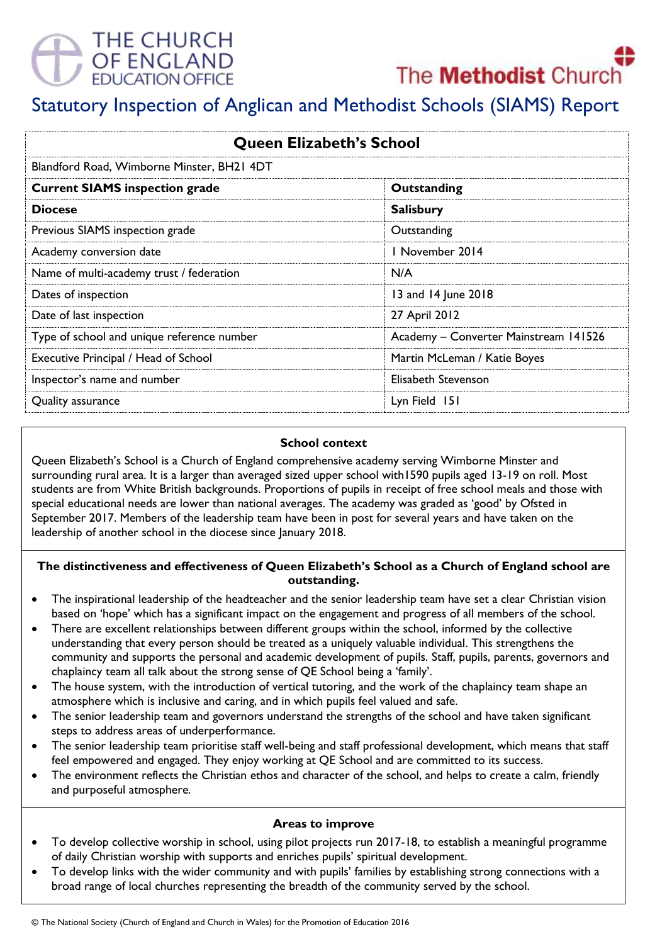# THE CHURCH **DF ENGLAND**<br>DUCATION OFFICE



# Statutory Inspection of Anglican and Methodist Schools (SIAMS) Report

| <b>Queen Elizabeth's School</b>            |                                       |
|--------------------------------------------|---------------------------------------|
| Blandford Road, Wimborne Minster, BH21 4DT |                                       |
| <b>Current SIAMS inspection grade</b>      | Outstanding                           |
| <b>Diocese</b>                             | <b>Salisbury</b>                      |
| Previous SIAMS inspection grade            | Outstanding                           |
| Academy conversion date                    | 1 November 2014                       |
| Name of multi-academy trust / federation   | N/A                                   |
| Dates of inspection                        | 13 and 14 June 2018                   |
| Date of last inspection                    | 27 April 2012                         |
| Type of school and unique reference number | Academy - Converter Mainstream 141526 |
| Executive Principal / Head of School       | Martin McLeman / Katie Boyes          |
| Inspector's name and number                | Elisabeth Stevenson                   |
| Quality assurance                          | Lyn Field 151                         |

#### **School context**

Queen Elizabeth's School is a Church of England comprehensive academy serving Wimborne Minster and surrounding rural area. It is a larger than averaged sized upper school with1590 pupils aged 13-19 on roll. Most students are from White British backgrounds. Proportions of pupils in receipt of free school meals and those with special educational needs are lower than national averages. The academy was graded as 'good' by Ofsted in September 2017. Members of the leadership team have been in post for several years and have taken on the leadership of another school in the diocese since January 2018.

### **The distinctiveness and effectiveness of Queen Elizabeth's School as a Church of England school are outstanding.**

- The inspirational leadership of the headteacher and the senior leadership team have set a clear Christian vision based on 'hope' which has a significant impact on the engagement and progress of all members of the school.
- There are excellent relationships between different groups within the school, informed by the collective understanding that every person should be treated as a uniquely valuable individual. This strengthens the community and supports the personal and academic development of pupils. Staff, pupils, parents, governors and chaplaincy team all talk about the strong sense of QE School being a 'family'.
- The house system, with the introduction of vertical tutoring, and the work of the chaplaincy team shape an atmosphere which is inclusive and caring, and in which pupils feel valued and safe.
- The senior leadership team and governors understand the strengths of the school and have taken significant steps to address areas of underperformance.
- The senior leadership team prioritise staff well-being and staff professional development, which means that staff feel empowered and engaged. They enjoy working at QE School and are committed to its success.
- The environment reflects the Christian ethos and character of the school, and helps to create a calm, friendly and purposeful atmosphere.

### **Areas to improve**

- To develop collective worship in school, using pilot projects run 2017-18, to establish a meaningful programme of daily Christian worship with supports and enriches pupils' spiritual development.
- To develop links with the wider community and with pupils' families by establishing strong connections with a broad range of local churches representing the breadth of the community served by the school.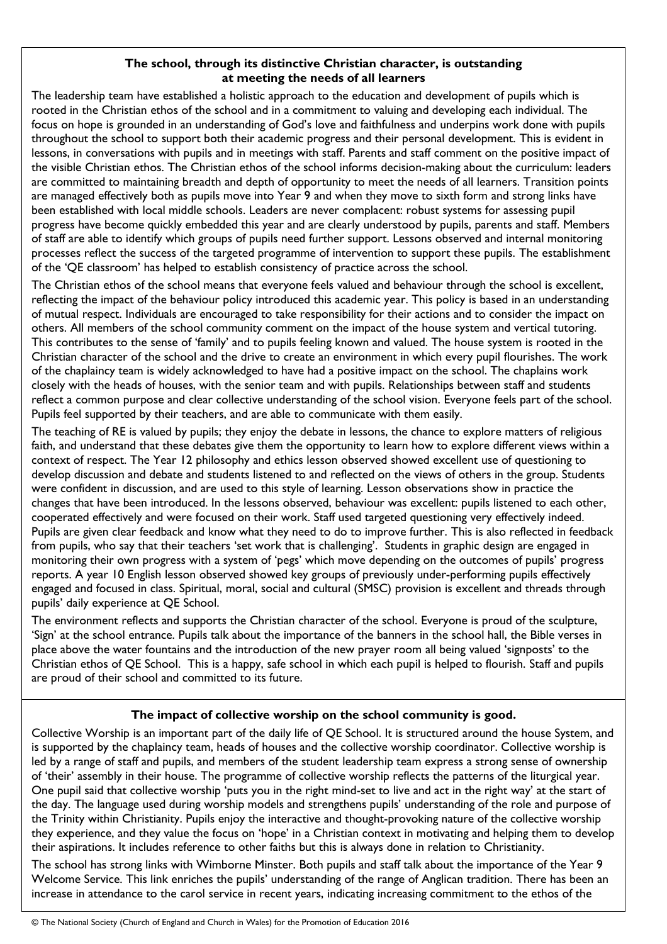#### **The school, through its distinctive Christian character, is outstanding at meeting the needs of all learners**

The leadership team have established a holistic approach to the education and development of pupils which is rooted in the Christian ethos of the school and in a commitment to valuing and developing each individual. The focus on hope is grounded in an understanding of God's love and faithfulness and underpins work done with pupils throughout the school to support both their academic progress and their personal development. This is evident in lessons, in conversations with pupils and in meetings with staff. Parents and staff comment on the positive impact of the visible Christian ethos. The Christian ethos of the school informs decision-making about the curriculum: leaders are committed to maintaining breadth and depth of opportunity to meet the needs of all learners. Transition points are managed effectively both as pupils move into Year 9 and when they move to sixth form and strong links have been established with local middle schools. Leaders are never complacent: robust systems for assessing pupil progress have become quickly embedded this year and are clearly understood by pupils, parents and staff. Members of staff are able to identify which groups of pupils need further support. Lessons observed and internal monitoring processes reflect the success of the targeted programme of intervention to support these pupils. The establishment of the 'QE classroom' has helped to establish consistency of practice across the school.

The Christian ethos of the school means that everyone feels valued and behaviour through the school is excellent, reflecting the impact of the behaviour policy introduced this academic year. This policy is based in an understanding of mutual respect. Individuals are encouraged to take responsibility for their actions and to consider the impact on others. All members of the school community comment on the impact of the house system and vertical tutoring. This contributes to the sense of 'family' and to pupils feeling known and valued. The house system is rooted in the Christian character of the school and the drive to create an environment in which every pupil flourishes. The work of the chaplaincy team is widely acknowledged to have had a positive impact on the school. The chaplains work closely with the heads of houses, with the senior team and with pupils. Relationships between staff and students reflect a common purpose and clear collective understanding of the school vision. Everyone feels part of the school. Pupils feel supported by their teachers, and are able to communicate with them easily.

The teaching of RE is valued by pupils; they enjoy the debate in lessons, the chance to explore matters of religious faith, and understand that these debates give them the opportunity to learn how to explore different views within a context of respect. The Year 12 philosophy and ethics lesson observed showed excellent use of questioning to develop discussion and debate and students listened to and reflected on the views of others in the group. Students were confident in discussion, and are used to this style of learning. Lesson observations show in practice the changes that have been introduced. In the lessons observed, behaviour was excellent: pupils listened to each other, cooperated effectively and were focused on their work. Staff used targeted questioning very effectively indeed. Pupils are given clear feedback and know what they need to do to improve further. This is also reflected in feedback from pupils, who say that their teachers 'set work that is challenging'. Students in graphic design are engaged in monitoring their own progress with a system of 'pegs' which move depending on the outcomes of pupils' progress reports. A year 10 English lesson observed showed key groups of previously under-performing pupils effectively engaged and focused in class. Spiritual, moral, social and cultural (SMSC) provision is excellent and threads through pupils' daily experience at QE School.

The environment reflects and supports the Christian character of the school. Everyone is proud of the sculpture, 'Sign' at the school entrance. Pupils talk about the importance of the banners in the school hall, the Bible verses in place above the water fountains and the introduction of the new prayer room all being valued 'signposts' to the Christian ethos of QE School. This is a happy, safe school in which each pupil is helped to flourish. Staff and pupils are proud of their school and committed to its future.

## **The impact of collective worship on the school community is good.**

Collective Worship is an important part of the daily life of QE School. It is structured around the house System, and is supported by the chaplaincy team, heads of houses and the collective worship coordinator. Collective worship is led by a range of staff and pupils, and members of the student leadership team express a strong sense of ownership of 'their' assembly in their house. The programme of collective worship reflects the patterns of the liturgical year. One pupil said that collective worship 'puts you in the right mind-set to live and act in the right way' at the start of the day. The language used during worship models and strengthens pupils' understanding of the role and purpose of the Trinity within Christianity. Pupils enjoy the interactive and thought-provoking nature of the collective worship they experience, and they value the focus on 'hope' in a Christian context in motivating and helping them to develop their aspirations. It includes reference to other faiths but this is always done in relation to Christianity.

The school has strong links with Wimborne Minster. Both pupils and staff talk about the importance of the Year 9 Welcome Service. This link enriches the pupils' understanding of the range of Anglican tradition. There has been an increase in attendance to the carol service in recent years, indicating increasing commitment to the ethos of the